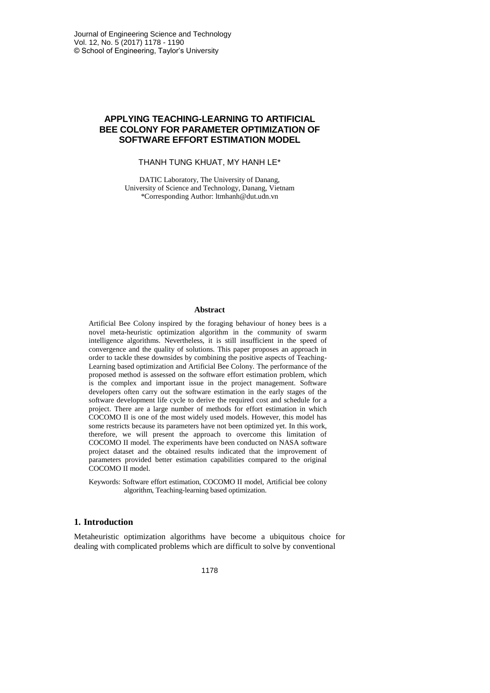# **APPLYING TEACHING-LEARNING TO ARTIFICIAL BEE COLONY FOR PARAMETER OPTIMIZATION OF SOFTWARE EFFORT ESTIMATION MODEL**

### THANH TUNG KHUAT, MY HANH LE\*

DATIC Laboratory, The University of Danang, University of Science and Technology, Danang, Vietnam \*Corresponding Author: ltmhanh@dut.udn.vn

### **Abstract**

Artificial Bee Colony inspired by the foraging behaviour of honey bees is a novel meta-heuristic optimization algorithm in the community of swarm intelligence algorithms. Nevertheless, it is still insufficient in the speed of convergence and the quality of solutions. This paper proposes an approach in order to tackle these downsides by combining the positive aspects of Teaching-Learning based optimization and Artificial Bee Colony. The performance of the proposed method is assessed on the software effort estimation problem, which is the complex and important issue in the project management. Software developers often carry out the software estimation in the early stages of the software development life cycle to derive the required cost and schedule for a project. There are a large number of methods for effort estimation in which COCOMO II is one of the most widely used models. However, this model has some restricts because its parameters have not been optimized yet. In this work, therefore, we will present the approach to overcome this limitation of COCOMO II model. The experiments have been conducted on NASA software project dataset and the obtained results indicated that the improvement of parameters provided better estimation capabilities compared to the original COCOMO II model.

Keywords: Software effort estimation, COCOMO II model, Artificial bee colony algorithm, Teaching-learning based optimization.

# **1. Introduction**

Metaheuristic optimization algorithms have become a ubiquitous choice for dealing with complicated problems which are difficult to solve by conventional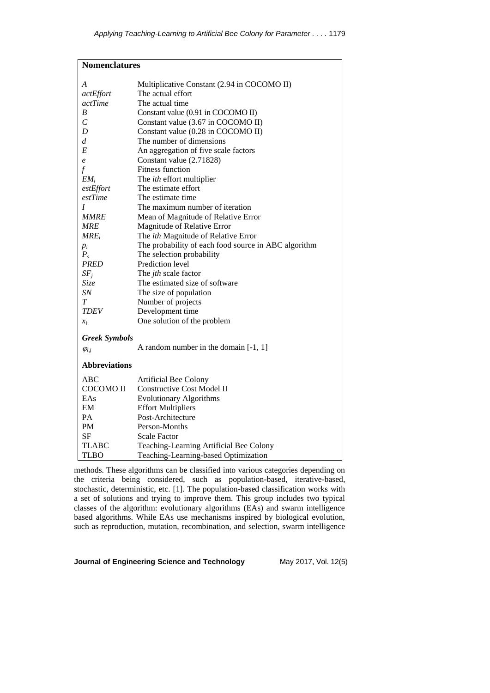| <b>Nomenclatures</b> |                                                      |  |  |  |  |
|----------------------|------------------------------------------------------|--|--|--|--|
| A                    | Multiplicative Constant (2.94 in COCOMO II)          |  |  |  |  |
| actEffort            | The actual effort                                    |  |  |  |  |
| <i>actTime</i>       | The actual time                                      |  |  |  |  |
| B                    | Constant value (0.91 in COCOMO II)                   |  |  |  |  |
| $\mathcal{C}_{0}$    | Constant value (3.67 in COCOMO II)                   |  |  |  |  |
| D                    | Constant value (0.28 in COCOMO II)                   |  |  |  |  |
| d                    | The number of dimensions                             |  |  |  |  |
| E                    | An aggregation of five scale factors                 |  |  |  |  |
| e                    | Constant value (2.71828)                             |  |  |  |  |
| $\int$               | <b>Fitness function</b>                              |  |  |  |  |
| $EM_i$               | The <i>ith</i> effort multiplier                     |  |  |  |  |
| estEffort            | The estimate effort                                  |  |  |  |  |
| estTime              | The estimate time                                    |  |  |  |  |
| I                    | The maximum number of iteration                      |  |  |  |  |
| <i>MMRE</i>          | Mean of Magnitude of Relative Error                  |  |  |  |  |
| MRE                  | Magnitude of Relative Error                          |  |  |  |  |
| $MRE_i$              | The ith Magnitude of Relative Error                  |  |  |  |  |
| $p_i$                | The probability of each food source in ABC algorithm |  |  |  |  |
| $P_{s}$              | The selection probability                            |  |  |  |  |
| <b>PRED</b>          | Prediction level                                     |  |  |  |  |
| $SF_i$               | The jth scale factor                                 |  |  |  |  |
| Size                 | The estimated size of software                       |  |  |  |  |
| SN                   | The size of population                               |  |  |  |  |
| T                    | Number of projects                                   |  |  |  |  |
| TDEV                 | Development time                                     |  |  |  |  |
| $x_i$                | One solution of the problem                          |  |  |  |  |
| <b>Greek Symbols</b> |                                                      |  |  |  |  |
| $\varphi_{i,j}$      | A random number in the domain $[-1, 1]$              |  |  |  |  |
| <b>Abbreviations</b> |                                                      |  |  |  |  |
| ABC                  | Artificial Bee Colony                                |  |  |  |  |
| COCOMO II            | <b>Constructive Cost Model II</b>                    |  |  |  |  |
| EAs                  | <b>Evolutionary Algorithms</b>                       |  |  |  |  |
| EM                   | <b>Effort Multipliers</b>                            |  |  |  |  |
| PА                   | Post-Architecture                                    |  |  |  |  |
| PM                   | Person-Months                                        |  |  |  |  |
| SF                   | <b>Scale Factor</b>                                  |  |  |  |  |
| <b>TLABC</b>         | Teaching-Learning Artificial Bee Colony              |  |  |  |  |
| TLBO                 | Teaching-Learning-based Optimization                 |  |  |  |  |

methods. These algorithms can be classified into various categories depending on the criteria being considered, such as population-based, iterative-based, stochastic, deterministic, etc. [\[1\]](#page-11-0). The population-based classification works with a set of solutions and trying to improve them. This group includes two typical classes of the algorithm: evolutionary algorithms (EAs) and swarm intelligence based algorithms. While EAs use mechanisms inspired by biological evolution, such as reproduction, mutation, recombination, and selection, swarm intelligence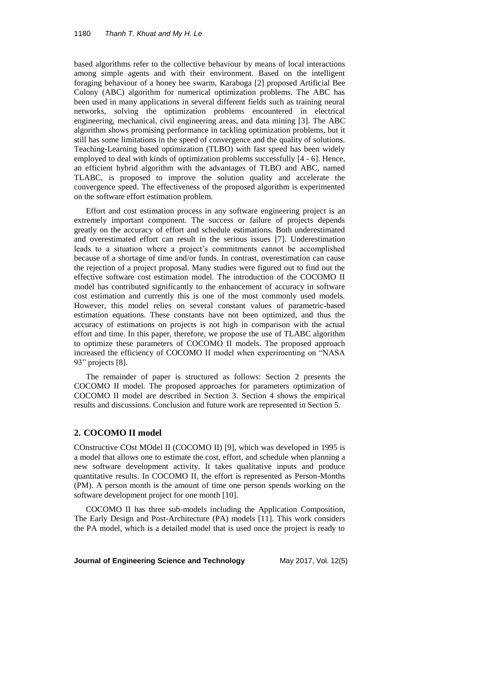based algorithms refer to the collective behaviour by means of local interactions among simple agents and with their environment. Based on the intelligent foraging behaviour of a honey bee swarm, Karaboga [\[2\]](#page-11-1) proposed Artificial Bee Colony (ABC) algorithm for numerical optimization problems. The ABC has been used in many applications in several different fields such as training neural networks, solving the optimization problems encountered in electrical engineering, mechanical, civil engineering areas, and data mining [\[3\]](#page-11-2). The ABC algorithm shows promising performance in tackling optimization problems, but it still has some limitations in the speed of convergence and the quality of solutions. Teaching-Learning based optimization (TLBO) with fast speed has been widely employed to deal with kinds of optimization problems successfully [\[4](#page-11-3) - [6\]](#page-11-4). Hence, an efficient hybrid algorithm with the advantages of TLBO and ABC, named TLABC, is proposed to improve the solution quality and accelerate the convergence speed. The effectiveness of the proposed algorithm is experimented on the software effort estimation problem.

Effort and cost estimation process in any software engineering project is an extremely important component. The success or failure of projects depends greatly on the accuracy of effort and schedule estimations. Both underestimated and overestimated effort can result in the serious issues [\[7\]](#page-12-0). Underestimation leads to a situation where a project's commitments cannot be accomplished because of a shortage of time and/or funds. In contrast, overestimation can cause the rejection of a project proposal. Many studies were figured out to find out the effective software cost estimation model. The introduction of the COCOMO II model has contributed significantly to the enhancement of accuracy in software cost estimation and currently this is one of the most commonly used models. However, this model relies on several constant values of parametric-based estimation equations. These constants have not been optimized, and thus the accuracy of estimations on projects is not high in comparison with the actual effort and time. In this paper, therefore, we propose the use of TLABC algorithm to optimize these parameters of COCOMO II models. The proposed approach increased the efficiency of COCOMO II model when experimenting on "NASA 93" projects [\[8\]](#page-12-1).

The remainder of paper is structured as follows: Section 2 presents the COCOMO II model. The proposed approaches for parameters optimization of COCOMO II model are described in Section 3. Section 4 shows the empirical results and discussions. Conclusion and future work are represented in Section 5.

# **2. COCOMO II model**

COnstructive COst MOdel II (COCOMO II) [\[9\]](#page-12-2), which was developed in 1995 is a model that allows one to estimate the cost, effort, and schedule when planning a new software development activity. It takes qualitative inputs and produce quantitative results. In COCOMO II, the effort is represented as Person-Months (PM). A person month is the amount of time one person spends working on the software development project for one month [\[10\]](#page-12-3).

COCOMO II has three sub-models including the Application Composition, The Early Design and Post-Architecture (PA) models [\[11\]](#page-12-4). This work considers the PA model, which is a detailed model that is used once the project is ready to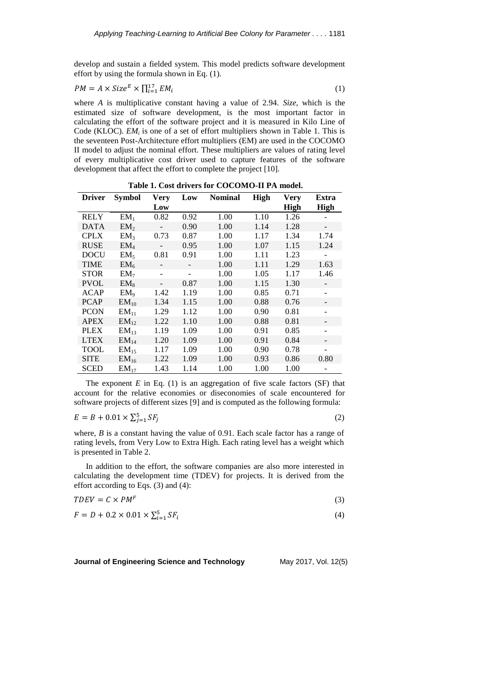develop and sustain a fielded system. This model predicts software development effort by using the formula shown in Eq. (1).

$$
PM = A \times Size^E \times \prod_{i=1}^{17} EM_i
$$
 (1)

where *A* is multiplicative constant having a value of 2.94. *Size*, which is the estimated size of software development, is the most important factor in calculating the effort of the software project and it is measured in Kilo Line of Code (KLOC).  $EM_i$  is one of a set of effort multipliers shown in Table 1. This is the seventeen Post-Architecture effort multipliers (EM) are used in the COCOMO II model to adjust the nominal effort. These multipliers are values of rating level of every multiplicative cost driver used to capture features of the software development that affect the effort to complete the project [\[10\]](#page-12-3).

| <b>Driver</b> | <b>Symbol</b>    | <b>Very</b>              | Low  | <b>Nominal</b> | <b>High</b> | <b>Very</b> | Extra                    |
|---------------|------------------|--------------------------|------|----------------|-------------|-------------|--------------------------|
|               |                  | Low                      |      |                |             | <b>High</b> | <b>High</b>              |
| <b>RELY</b>   | $EM_1$           | 0.82                     | 0.92 | 1.00           | 1.10        | 1.26        |                          |
| <b>DATA</b>   | EM <sub>2</sub>  |                          | 0.90 | 1.00           | 1.14        | 1.28        |                          |
| <b>CPLX</b>   | EM <sub>3</sub>  | 0.73                     | 0.87 | 1.00           | 1.17        | 1.34        | 1.74                     |
| <b>RUSE</b>   | EM <sub>4</sub>  |                          | 0.95 | 1.00           | 1.07        | 1.15        | 1.24                     |
| <b>DOCU</b>   | EM <sub>5</sub>  | 0.81                     | 0.91 | 1.00           | 1.11        | 1.23        |                          |
| <b>TIME</b>   | EM <sub>6</sub>  | $\overline{\phantom{a}}$ |      | 1.00           | 1.11        | 1.29        | 1.63                     |
| <b>STOR</b>   | EM <sub>7</sub>  | $\overline{\phantom{a}}$ |      | 1.00           | 1.05        | 1.17        | 1.46                     |
| <b>PVOL</b>   | $EM_8$           |                          | 0.87 | 1.00           | 1.15        | 1.30        | $\overline{\phantom{a}}$ |
| <b>ACAP</b>   | $EM_{9}$         | 1.42                     | 1.19 | 1.00           | 0.85        | 0.71        |                          |
| <b>PCAP</b>   | $EM_{10}$        | 1.34                     | 1.15 | 1.00           | 0.88        | 0.76        |                          |
| <b>PCON</b>   | $EM_{11}$        | 1.29                     | 1.12 | 1.00           | 0.90        | 0.81        |                          |
| <b>APEX</b>   | $EM_{12}$        | 1.22                     | 1.10 | 1.00           | 0.88        | 0.81        |                          |
| <b>PLEX</b>   | $EM_{13}$        | 1.19                     | 1.09 | 1.00           | 0.91        | 0.85        |                          |
| <b>LTEX</b>   | EM <sub>14</sub> | 1.20                     | 1.09 | 1.00           | 0.91        | 0.84        |                          |
| TOOL          | EM <sub>15</sub> | 1.17                     | 1.09 | 1.00           | 0.90        | 0.78        |                          |
| <b>SITE</b>   | $EM_{16}$        | 1.22                     | 1.09 | 1.00           | 0.93        | 0.86        | 0.80                     |
| SCED          | $EM_{17}$        | 1.43                     | 1.14 | 1.00           | 1.00        | 1.00        |                          |

**Table 1. Cost drivers for COCOMO-II PA model.**

The exponent  $E$  in Eq. (1) is an aggregation of five scale factors (SF) that account for the relative economies or diseconomies of scale encountered for software projects of different sizes [\[9\]](#page-12-2) and is computed as the following formula:

$$
E = B + 0.01 \times \sum_{j=1}^{5} SF_j
$$

where, *B* is a constant having the value of 0.91. Each scale factor has a range of rating levels, from Very Low to Extra High. Each rating level has a weight which is presented in Table 2.

In addition to the effort, the software companies are also more interested in calculating the development time (TDEV) for projects. It is derived from the effort according to Eqs. (3) and (4):

$$
TDEV = C \times PM^F \tag{3}
$$

$$
F = D + 0.2 \times 0.01 \times \sum_{i=1}^{5} SF_i
$$
 (4)

**Journal of Engineering Science and Technology** May 2017, Vol. 12(5)

(2)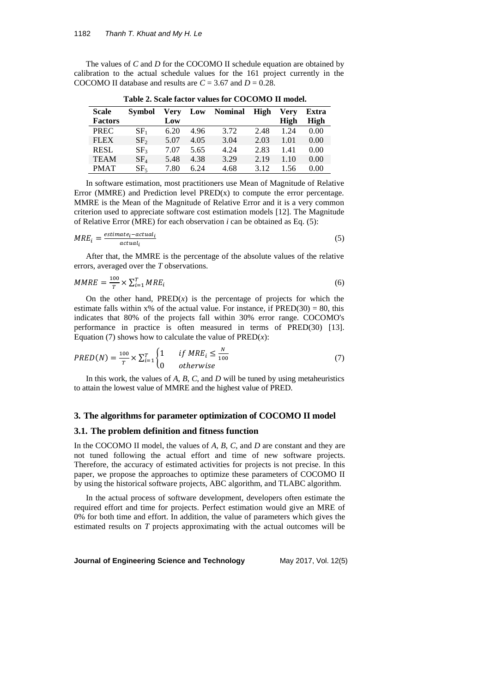The values of *C* and *D* for the COCOMO II schedule equation are obtained by calibration to the actual schedule values for the 161 project currently in the COCOMO II database and results are  $C = 3.67$  and  $D = 0.28$ .

| <b>Scale</b>   | <b>Symbol</b>   | Verv | Low  | <b>Nominal</b> | High | Verv | Extra |
|----------------|-----------------|------|------|----------------|------|------|-------|
| <b>Factors</b> |                 | Low  |      |                |      | High | High  |
| <b>PREC</b>    | SF <sub>1</sub> | 6.20 | 4.96 | 3.72           | 2.48 | 1.24 | 0.00  |
| <b>FLEX</b>    | SF <sub>2</sub> | 5.07 | 4.05 | 3.04           | 2.03 | 1.01 | 0.00  |
| <b>RESL</b>    | SF <sub>3</sub> | 7.07 | 5.65 | 4.24           | 2.83 | 1.41 | 0.00  |
| <b>TEAM</b>    | $SF_4$          | 5.48 | 4.38 | 3.29           | 2.19 | 1.10 | 0.00  |
| <b>PMAT</b>    | SF <sub>5</sub> | 7.80 | 6.24 | 4.68           | 3.12 | 1.56 | 0.00  |

**Table 2. Scale factor values for COCOMO II model.**

In software estimation, most practitioners use Mean of Magnitude of Relative Error (MMRE) and Prediction level  $PRED(x)$  to compute the error percentage. MMRE is the Mean of the Magnitude of Relative Error and it is a very common criterion used to appreciate software cost estimation models [\[12\]](#page-12-5). The Magnitude of Relative Error (MRE) for each observation *i* can be obtained as Eq. (5):

$$
MRE_i = \frac{estimate_i - actual_i}{actual_i} \tag{5}
$$

After that, the MMRE is the percentage of the absolute values of the relative errors, averaged over the *T* observations.

$$
MMRE = \frac{100}{T} \times \sum_{i=1}^{T} MRE_i
$$
\n
$$
(6)
$$

On the other hand,  $PRED(x)$  is the percentage of projects for which the estimate falls within  $x\%$  of the actual value. For instance, if  $PRED(30) = 80$ , this indicates that 80% of the projects fall within 30% error range. COCOMO's performance in practice is often measured in terms of PRED(30) [\[13\]](#page-12-6). Equation (7) shows how to calculate the value of  $PRED(x)$ :

$$
PRED(N) = \frac{100}{T} \times \sum_{i=1}^{T} \begin{cases} 1 & \text{if } MRE_i \le \frac{N}{100} \\ 0 & \text{otherwise} \end{cases} \tag{7}
$$

In this work, the values of *A*, *B*, *C*, and *D* will be tuned by using metaheuristics to attain the lowest value of MMRE and the highest value of PRED.

## **3. The algorithms for parameter optimization of COCOMO II model**

# **3.1. The problem definition and fitness function**

In the COCOMO II model, the values of *A*, *B*, *C*, and *D* are constant and they are not tuned following the actual effort and time of new software projects. Therefore, the accuracy of estimated activities for projects is not precise. In this paper, we propose the approaches to optimize these parameters of COCOMO II by using the historical software projects, ABC algorithm, and TLABC algorithm.

In the actual process of software development, developers often estimate the required effort and time for projects. Perfect estimation would give an MRE of 0% for both time and effort. In addition, the value of parameters which gives the estimated results on *T* projects approximating with the actual outcomes will be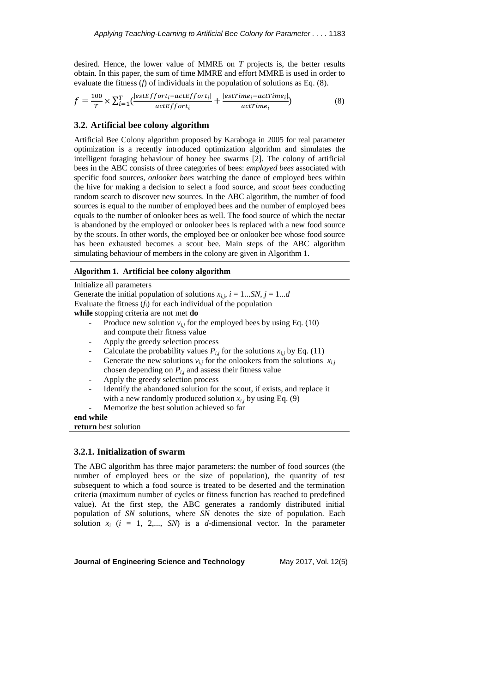desired. Hence, the lower value of MMRE on *T* projects is, the better results obtain. In this paper, the sum of time MMRE and effort MMRE is used in order to evaluate the fitness (*f*) of individuals in the population of solutions as Eq. (8).

$$
f = \frac{100}{T} \times \sum_{i=1}^{T} \left( \frac{|estEffort_i - actEffort_i|}{actEffort_i} + \frac{|estTime_i - actTime_i|}{actTime_i} \right)
$$
(8)

# **3.2. Artificial bee colony algorithm**

Artificial Bee Colony algorithm proposed by Karaboga in 2005 for real parameter optimization is a recently introduced optimization algorithm and simulates the intelligent foraging behaviour of honey bee swarms [\[2\]](#page-11-1). The colony of artificial bees in the ABC consists of three categories of bees: *employed bees* associated with specific food sources, *onlooker bees* watching the dance of employed bees within the hive for making a decision to select a food source, and *scout bees* conducting random search to discover new sources. In the ABC algorithm, the number of food sources is equal to the number of employed bees and the number of employed bees equals to the number of onlooker bees as well. The food source of which the nectar is abandoned by the employed or onlooker bees is replaced with a new food source by the scouts. In other words, the employed bee or onlooker bee whose food source has been exhausted becomes a scout bee. Main steps of the ABC algorithm simulating behaviour of members in the colony are given in Algorithm 1.

#### **Algorithm 1. Artificial bee colony algorithm**

Initialize all parameters Generate the initial population of solutions  $x_{i,j}$ ,  $i = 1...SN$ ,  $j = 1...d$ Evaluate the fitness (*fi*) for each individual of the population **while** stopping criteria are not met **do**

- Produce new solution  $v_{i,j}$  for the employed bees by using Eq. (10) and compute their fitness value
- Apply the greedy selection process
- Calculate the probability values  $P_{i,j}$  for the solutions  $x_{i,j}$  by Eq. (11)
- Generate the new solutions  $v_{i,j}$  for the onlookers from the solutions  $x_{i,j}$ chosen depending on  $P_{i,j}$  and assess their fitness value
- Apply the greedy selection process
- Identify the abandoned solution for the scout, if exists, and replace it with a new randomly produced solution  $x_{i,j}$  by using Eq. (9)
- Memorize the best solution achieved so far

**end while return** best solution

# **3.2.1. Initialization of swarm**

The ABC algorithm has three major parameters: the number of food sources (the number of employed bees or the size of population), the quantity of test subsequent to which a food source is treated to be deserted and the termination criteria (maximum number of cycles or fitness function has reached to predefined value). At the first step, the ABC generates a randomly distributed initial population of *SN* solutions, where *SN* denotes the size of population. Each solution  $x_i$  ( $i = 1, 2,..., SN$ ) is a *d*-dimensional vector. In the parameter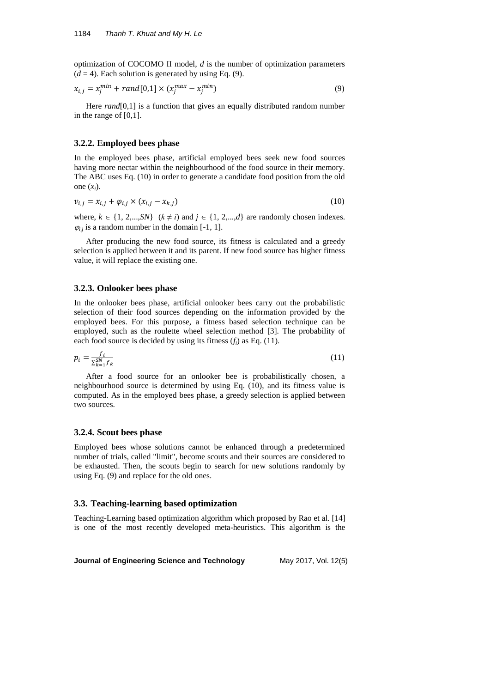optimization of COCOMO II model, *d* is the number of optimization parameters  $(d = 4)$ . Each solution is generated by using Eq. (9).

$$
x_{i,j} = x_j^{min} + rand[0,1] \times (x_j^{max} - x_j^{min})
$$
\n(9)

Here *rand*[0,1] is a function that gives an equally distributed random number in the range of [0,1].

# **3.2.2. Employed bees phase**

In the employed bees phase, artificial employed bees seek new food sources having more nectar within the neighbourhood of the food source in their memory. The ABC uses Eq. (10) in order to generate a candidate food position from the old one  $(x_i)$ .

$$
v_{i,j} = x_{i,j} + \varphi_{i,j} \times (x_{i,j} - x_{k,j})
$$
 (10)

where,  $k \in \{1, 2,..., SN\}$   $(k \neq i)$  and  $j \in \{1, 2,...,d\}$  are randomly chosen indexes.  $\varphi_{i,j}$  is a random number in the domain [-1, 1].

After producing the new food source, its fitness is calculated and a greedy selection is applied between it and its parent. If new food source has higher fitness value, it will replace the existing one.

### **3.2.3. Onlooker bees phase**

In the onlooker bees phase, artificial onlooker bees carry out the probabilistic selection of their food sources depending on the information provided by the employed bees. For this purpose, a fitness based selection technique can be employed, such as the roulette wheel selection method [\[3\]](#page-11-2). The probability of each food source is decided by using its fitness  $(f_i)$  as Eq. (11).

$$
p_i = \frac{f_i}{\sum_{k=1}^{SN} f_k} \tag{11}
$$

After a food source for an onlooker bee is probabilistically chosen, a neighbourhood source is determined by using Eq. (10), and its fitness value is computed. As in the employed bees phase, a greedy selection is applied between two sources.

#### **3.2.4. Scout bees phase**

Employed bees whose solutions cannot be enhanced through a predetermined number of trials, called "limit", become scouts and their sources are considered to be exhausted. Then, the scouts begin to search for new solutions randomly by using Eq. (9) and replace for the old ones.

# **3.3. Teaching-learning based optimization**

Teaching-Learning based optimization algorithm which proposed by Rao et al. [\[14\]](#page-12-7) is one of the most recently developed meta-heuristics. This algorithm is the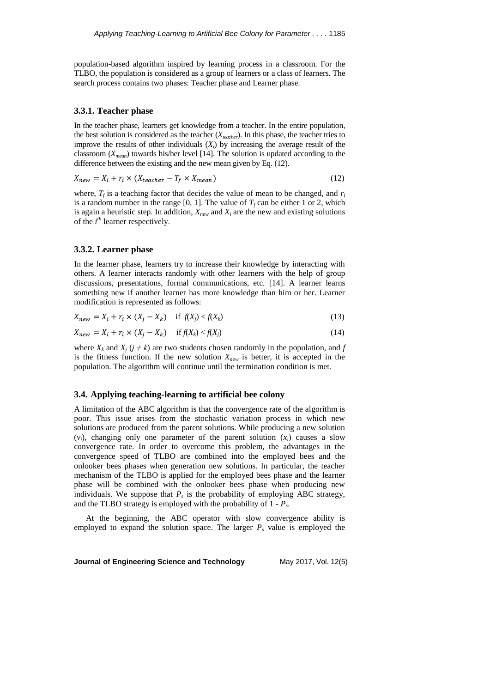population-based algorithm inspired by learning process in a classroom. For the TLBO, the population is considered as a group of learners or a class of learners. The search process contains two phases: Teacher phase and Learner phase.

### **3.3.1. Teacher phase**

In the teacher phase, learners get knowledge from a teacher. In the entire population, the best solution is considered as the teacher (*Xteacher*). In this phase, the teacher tries to improve the results of other individuals  $(X_i)$  by increasing the average result of the classroom (*Xmean*) towards his/her level [\[14\]](#page-12-7). The solution is updated according to the difference between the existing and the new mean given by Eq. (12).

$$
X_{new} = X_i + r_i \times (X_{teacher} - T_f \times X_{mean})
$$
\n(12)

where,  $T_f$  is a teaching factor that decides the value of mean to be changed, and  $r_i$ is a random number in the range [0, 1]. The value of  $T_f$  can be either 1 or 2, which is again a heuristic step. In addition,  $X_{new}$  and  $X_i$  are the new and existing solutions of the *i th* learner respectively.

# **3.3.2. Learner phase**

In the learner phase, learners try to increase their knowledge by interacting with others. A learner interacts randomly with other learners with the help of group discussions, presentations, formal communications, etc. [\[14\]](#page-12-7). A learner learns something new if another learner has more knowledge than him or her. Learner modification is represented as follows:

$$
X_{new} = X_i + r_i \times (X_j - X_k) \quad \text{if } f(X_j) < f(X_k) \tag{13}
$$

$$
X_{new} = X_i + r_i \times (X_j - X_k) \quad \text{if } f(X_k) < f(X_j) \tag{14}
$$

where  $X_k$  and  $X_j$  ( $j \neq k$ ) are two students chosen randomly in the population, and  $f$ is the fitness function. If the new solution  $X_{new}$  is better, it is accepted in the population. The algorithm will continue until the termination condition is met.

### **3.4. Applying teaching-learning to artificial bee colony**

A limitation of the ABC algorithm is that the convergence rate of the algorithm is poor. This issue arises from the stochastic variation process in which new solutions are produced from the parent solutions. While producing a new solution  $(v_i)$ , changing only one parameter of the parent solution  $(x_i)$  causes a slow convergence rate. In order to overcome this problem, the advantages in the convergence speed of TLBO are combined into the employed bees and the onlooker bees phases when generation new solutions. In particular, the teacher mechanism of the TLBO is applied for the employed bees phase and the learner phase will be combined with the onlooker bees phase when producing new individuals. We suppose that  $P_s$  is the probability of employing ABC strategy, and the TLBO strategy is employed with the probability of 1 - *P<sup>s</sup>* .

At the beginning, the ABC operator with slow convergence ability is employed to expand the solution space. The larger  $P_s$  value is employed the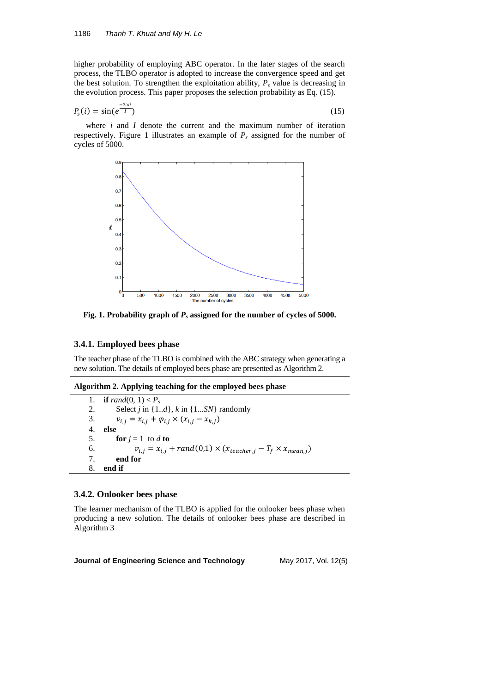higher probability of employing ABC operator. In the later stages of the search process, the TLBO operator is adopted to increase the convergence speed and get the best solution. To strengthen the exploitation ability,  $P_s$  value is decreasing in the evolution process. This paper proposes the selection probability as Eq. (15).

$$
P_s(i) = \sin(e^{\frac{-3\times i}{l}})
$$
\n<sup>(15)</sup>

where *i* and *I* denote the current and the maximum number of iteration respectively. Figure 1 illustrates an example of  $P_s$  assigned for the number of cycles of 5000.



**Fig. 1. Probability graph of** *P<sup>s</sup>* **assigned for the number of cycles of 5000.**

# **3.4.1. Employed bees phase**

The teacher phase of the TLBO is combined with the ABC strategy when generating a new solution. The details of employed bees phase are presented as Algorithm 2.

#### **Algorithm 2. Applying teaching for the employed bees phase**

1. **if**  $rand(0, 1) < P_s$ <br>2. **Select** *i* in {1} Select *j* in  $\{1..d\}$ , *k* in  $\{1...SN\}$  randomly 3.  $v_{i,j} = x_{i,j} + \varphi_{i,j} \times (x_{i,j} - x_{k,j})$ 4. **else** 5. **for**  $j = 1$  to  $d$  **to** 6.  $v_{i,j} = x_{i,j} + rand(0,1) \times (x_{teacher,j} - T_f \times x_{mean,j})$ <br>7. **end for** 7. **end for** 8. **end if**

# **3.4.2. Onlooker bees phase**

The learner mechanism of the TLBO is applied for the onlooker bees phase when producing a new solution. The details of onlooker bees phase are described in Algorithm 3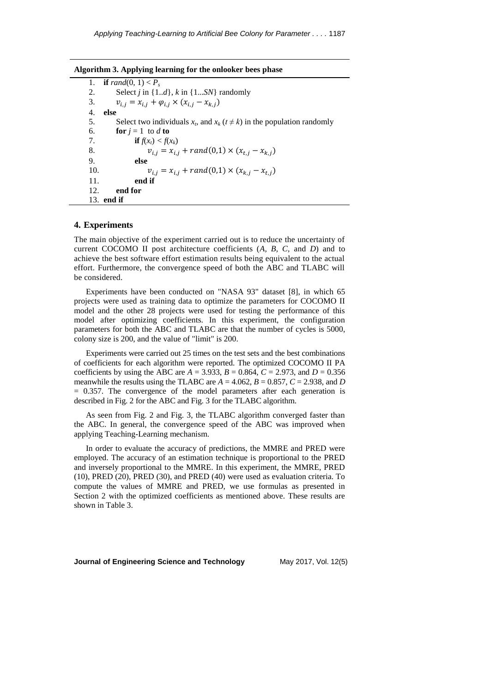| $\alpha$ and $\beta$ . Applying real ling for the omooker bees phase |                                                                                    |  |  |  |  |
|----------------------------------------------------------------------|------------------------------------------------------------------------------------|--|--|--|--|
| 1.                                                                   | <b>if</b> rand(0, 1) $\lt P$ .                                                     |  |  |  |  |
| 2.                                                                   | Select <i>i</i> in $\{1d\}$ , <i>k</i> in $\{1SN\}$ randomly                       |  |  |  |  |
| 3.                                                                   | $v_{i,j} = x_{i,j} + \varphi_{i,j} \times (x_{i,j} - x_{k,j})$                     |  |  |  |  |
| 4.                                                                   | else                                                                               |  |  |  |  |
| 5.                                                                   | Select two individuals $x_t$ , and $x_k$ ( $t \neq k$ ) in the population randomly |  |  |  |  |
| 6.                                                                   | <b>for</b> $i = 1$ to d to                                                         |  |  |  |  |
| 7.                                                                   | <b>if</b> $f(x_i) < f(x_i)$                                                        |  |  |  |  |
| 8.                                                                   | $v_{i,i} = x_{i,i} + rand(0,1) \times (x_{t,i} - x_{k,i})$                         |  |  |  |  |
| 9.                                                                   | else                                                                               |  |  |  |  |
| 10.                                                                  | $v_{i,j} = x_{i,j} + rand(0,1) \times (x_{k,i} - x_{t,i})$                         |  |  |  |  |
| 11.                                                                  | end if                                                                             |  |  |  |  |
| 12.                                                                  | end for                                                                            |  |  |  |  |
|                                                                      | 13. <b>end if</b>                                                                  |  |  |  |  |

# **Algorithm 3. Applying learning for the onlooker bees phase**

### **4. Experiments**

The main objective of the experiment carried out is to reduce the uncertainty of current COCOMO II post architecture coefficients (*A, B, C,* and *D*) and to achieve the best software effort estimation results being equivalent to the actual effort. Furthermore, the convergence speed of both the ABC and TLABC will be considered.

Experiments have been conducted on "NASA 93" dataset [\[8\]](#page-12-1), in which 65 projects were used as training data to optimize the parameters for COCOMO II model and the other 28 projects were used for testing the performance of this model after optimizing coefficients. In this experiment, the configuration parameters for both the ABC and TLABC are that the number of cycles is 5000, colony size is 200, and the value of "limit" is 200.

Experiments were carried out 25 times on the test sets and the best combinations of coefficients for each algorithm were reported. The optimized COCOMO II PA coefficients by using the ABC are  $A = 3.933$ ,  $B = 0.864$ ,  $C = 2.973$ , and  $D = 0.356$ meanwhile the results using the TLABC are  $A = 4.062$ ,  $B = 0.857$ ,  $C = 2.938$ , and *D*  $= 0.357$ . The convergence of the model parameters after each generation is described in Fig. 2 for the ABC and Fig. 3 for the TLABC algorithm.

As seen from Fig. 2 and Fig. 3, the TLABC algorithm converged faster than the ABC. In general, the convergence speed of the ABC was improved when applying Teaching-Learning mechanism.

In order to evaluate the accuracy of predictions, the MMRE and PRED were employed. The accuracy of an estimation technique is proportional to the PRED and inversely proportional to the MMRE. In this experiment, the MMRE, PRED (10), PRED (20), PRED (30), and PRED (40) were used as evaluation criteria. To compute the values of MMRE and PRED, we use formulas as presented in Section 2 with the optimized coefficients as mentioned above. These results are shown in Table 3.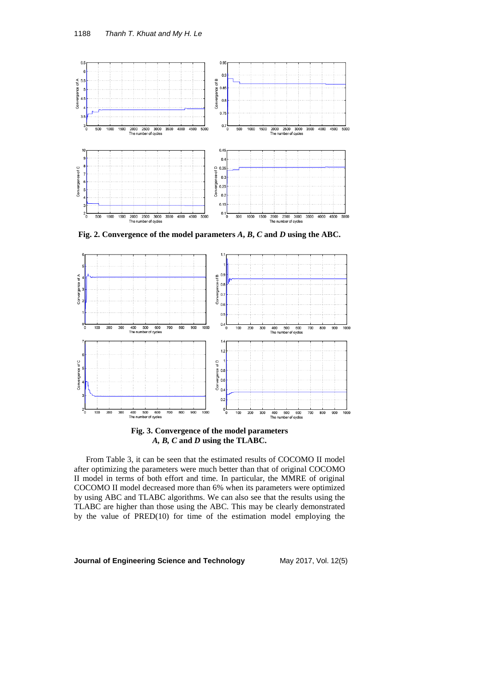

**Fig. 2. Convergence of the model parameters** *A***,** *B***,** *C* **and** *D* **using the ABC.**



**Fig. 3. Convergence of the model parameters**  *A, B, C* **and** *D* **using the TLABC.**

From Table 3, it can be seen that the estimated results of COCOMO II model after optimizing the parameters were much better than that of original COCOMO II model in terms of both effort and time. In particular, the MMRE of original COCOMO II model decreased more than 6% when its parameters were optimized by using ABC and TLABC algorithms. We can also see that the results using the TLABC are higher than those using the ABC. This may be clearly demonstrated by the value of PRED(10) for time of the estimation model employing the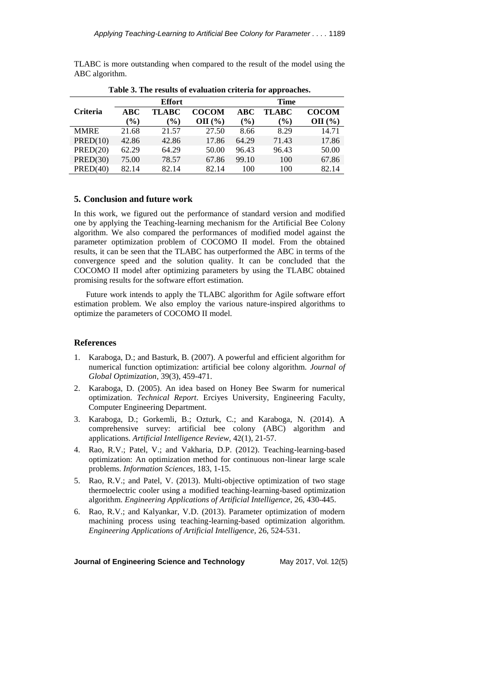TLABC is more outstanding when compared to the result of the model using the ABC algorithm.

| <b>Effort</b>   |                  |                              | <b>Time</b>  |               |              |              |
|-----------------|------------------|------------------------------|--------------|---------------|--------------|--------------|
| <b>Criteria</b> | ABC              | TLABC                        | <b>COCOM</b> | ABC           | <b>TLABC</b> | <b>COCOM</b> |
|                 | $\mathcal{O}(0)$ | $\left( \frac{0}{0} \right)$ | $OII($ % $)$ | $\frac{9}{6}$ | $(\%)$       | $OII($ % $)$ |
| <b>MMRE</b>     | 21.68            | 21.57                        | 27.50        | 8.66          | 8.29         | 14.71        |
| PRED(10)        | 42.86            | 42.86                        | 17.86        | 64.29         | 71.43        | 17.86        |
| PRED(20)        | 62.29            | 64.29                        | 50.00        | 96.43         | 96.43        | 50.00        |
| PRED(30)        | 75.00            | 78.57                        | 67.86        | 99.10         | 100          | 67.86        |
| PRED(40)        | 82.14            | 82.14                        | 82.14        | 100           | 100          | 82.14        |

**Table 3. The results of evaluation criteria for approaches.**

# **5. Conclusion and future work**

In this work, we figured out the performance of standard version and modified one by applying the Teaching-learning mechanism for the Artificial Bee Colony algorithm. We also compared the performances of modified model against the parameter optimization problem of COCOMO II model. From the obtained results, it can be seen that the TLABC has outperformed the ABC in terms of the convergence speed and the solution quality. It can be concluded that the COCOMO II model after optimizing parameters by using the TLABC obtained promising results for the software effort estimation.

Future work intends to apply the TLABC algorithm for Agile software effort estimation problem. We also employ the various nature-inspired algorithms to optimize the parameters of COCOMO II model.

## **References**

- <span id="page-11-0"></span>1. Karaboga, D.; and Basturk, B. (2007). A powerful and efficient algorithm for numerical function optimization: artificial bee colony algorithm. *Journal of Global Optimization*, 39(3), 459-471.
- <span id="page-11-1"></span>2. Karaboga, D. (2005). An idea based on Honey Bee Swarm for numerical optimization. *Technical Report*. Erciyes University, Engineering Faculty, Computer Engineering Department.
- <span id="page-11-2"></span>3. Karaboga, D.; Gorkemli, B.; Ozturk, C.; and Karaboga, N. (2014). A comprehensive survey: artificial bee colony (ABC) algorithm and applications. *Artificial Intelligence Review,* 42(1), 21-57.
- <span id="page-11-3"></span>4. Rao, R.V.; Patel, V.; and Vakharia, D.P. (2012). Teaching-learning-based optimization: An optimization method for continuous non-linear large scale problems. *Information Sciences,* 183, 1-15.
- 5. Rao, R.V.; and Patel, V. (2013). Multi-objective optimization of two stage thermoelectric cooler using a modified teaching-learning-based optimization algorithm. *Engineering Applications of Artificial Intelligence*, 26, 430-445.
- <span id="page-11-4"></span>6. Rao, R.V.; and Kalyankar, V.D. (2013). Parameter optimization of modern machining process using teaching-learning-based optimization algorithm. *Engineering Applications of Artificial Intelligence,* 26, 524-531.